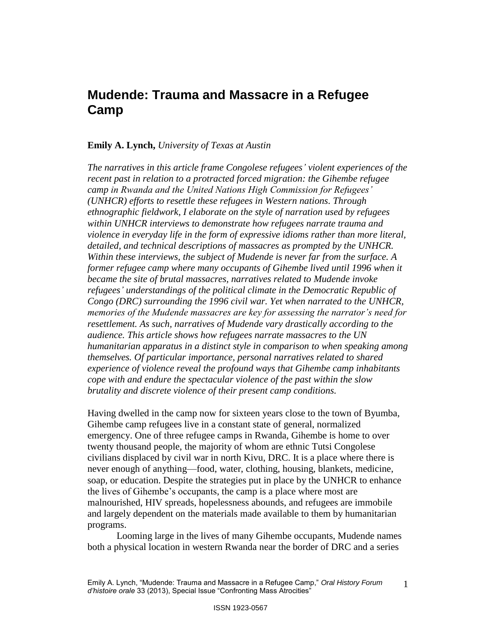# **Mudende: Trauma and Massacre in a Refugee Camp**

## **Emily A. Lynch,** *University of Texas at Austin*

*The narratives in this article frame Congolese refugees' violent experiences of the recent past in relation to a protracted forced migration: the Gihembe refugee camp in Rwanda and the United Nations High Commission for Refugees' (UNHCR) efforts to resettle these refugees in Western nations. Through ethnographic fieldwork, I elaborate on the style of narration used by refugees within UNHCR interviews to demonstrate how refugees narrate trauma and violence in everyday life in the form of expressive idioms rather than more literal, detailed, and technical descriptions of massacres as prompted by the UNHCR. Within these interviews, the subject of Mudende is never far from the surface. A former refugee camp where many occupants of Gihembe lived until 1996 when it became the site of brutal massacres, narratives related to Mudende invoke refugees' understandings of the political climate in the Democratic Republic of Congo (DRC) surrounding the 1996 civil war. Yet when narrated to the UNHCR, memories of the Mudende massacres are key for assessing the narrator's need for resettlement. As such, narratives of Mudende vary drastically according to the audience. This article shows how refugees narrate massacres to the UN humanitarian apparatus in a distinct style in comparison to when speaking among themselves. Of particular importance, personal narratives related to shared experience of violence reveal the profound ways that Gihembe camp inhabitants cope with and endure the spectacular violence of the past within the slow brutality and discrete violence of their present camp conditions.* 

Having dwelled in the camp now for sixteen years close to the town of Byumba, Gihembe camp refugees live in a constant state of general, normalized emergency. One of three refugee camps in Rwanda, Gihembe is home to over twenty thousand people, the majority of whom are ethnic Tutsi Congolese civilians displaced by civil war in north Kivu, DRC. It is a place where there is never enough of anything—food, water, clothing, housing, blankets, medicine, soap, or education. Despite the strategies put in place by the UNHCR to enhance the lives of Gihembe"s occupants, the camp is a place where most are malnourished, HIV spreads, hopelessness abounds, and refugees are immobile and largely dependent on the materials made available to them by humanitarian programs.

Looming large in the lives of many Gihembe occupants, Mudende names both a physical location in western Rwanda near the border of DRC and a series

Emily A. Lynch, "Mudende: Trauma and Massacre in a Refugee Camp," *Oral History Forum d'histoire orale* 33 (2013), Special Issue "Confronting Mass Atrocities" 1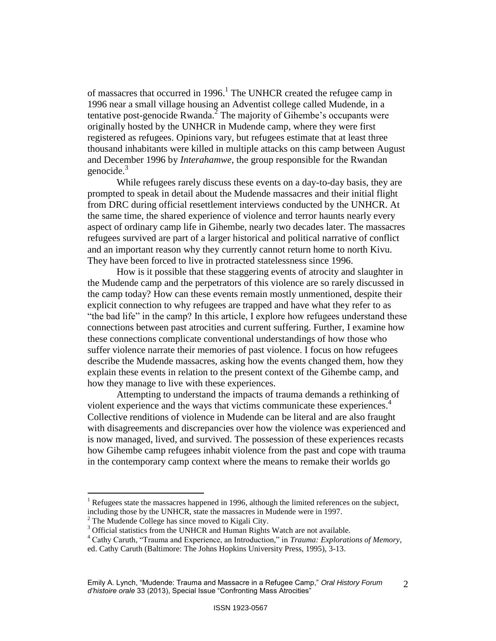of massacres that occurred in 1996.<sup>1</sup> The UNHCR created the refugee camp in 1996 near a small village housing an Adventist college called Mudende, in a tentative post-genocide Rwanda.<sup>2</sup> The majority of Gihembe's occupants were originally hosted by the UNHCR in Mudende camp, where they were first registered as refugees. Opinions vary, but refugees estimate that at least three thousand inhabitants were killed in multiple attacks on this camp between August and December 1996 by *Interahamwe*, the group responsible for the Rwandan genocide. $3$ 

While refugees rarely discuss these events on a day-to-day basis, they are prompted to speak in detail about the Mudende massacres and their initial flight from DRC during official resettlement interviews conducted by the UNHCR. At the same time, the shared experience of violence and terror haunts nearly every aspect of ordinary camp life in Gihembe, nearly two decades later. The massacres refugees survived are part of a larger historical and political narrative of conflict and an important reason why they currently cannot return home to north Kivu. They have been forced to live in protracted statelessness since 1996.

How is it possible that these staggering events of atrocity and slaughter in the Mudende camp and the perpetrators of this violence are so rarely discussed in the camp today? How can these events remain mostly unmentioned, despite their explicit connection to why refugees are trapped and have what they refer to as "the bad life" in the camp? In this article, I explore how refugees understand these connections between past atrocities and current suffering. Further, I examine how these connections complicate conventional understandings of how those who suffer violence narrate their memories of past violence. I focus on how refugees describe the Mudende massacres, asking how the events changed them, how they explain these events in relation to the present context of the Gihembe camp, and how they manage to live with these experiences.

Attempting to understand the impacts of trauma demands a rethinking of violent experience and the ways that victims communicate these experiences.<sup>4</sup> Collective renditions of violence in Mudende can be literal and are also fraught with disagreements and discrepancies over how the violence was experienced and is now managed, lived, and survived. The possession of these experiences recasts how Gihembe camp refugees inhabit violence from the past and cope with trauma in the contemporary camp context where the means to remake their worlds go

<sup>1</sup> Refugees state the massacres happened in 1996, although the limited references on the subject, including those by the UNHCR, state the massacres in Mudende were in 1997.

 $2^2$  The Mudende College has since moved to Kigali City.

<sup>&</sup>lt;sup>3</sup> Official statistics from the UNHCR and Human Rights Watch are not available.

<sup>4</sup> Cathy Caruth, "Trauma and Experience, an Introduction," in *Trauma: Explorations of Memory*, ed. Cathy Caruth (Baltimore: The Johns Hopkins University Press, 1995), 3-13.

Emily A. Lynch, "Mudende: Trauma and Massacre in a Refugee Camp," *Oral History Forum d'histoire orale* 33 (2013), Special Issue "Confronting Mass Atrocities"  $\mathcal{L}$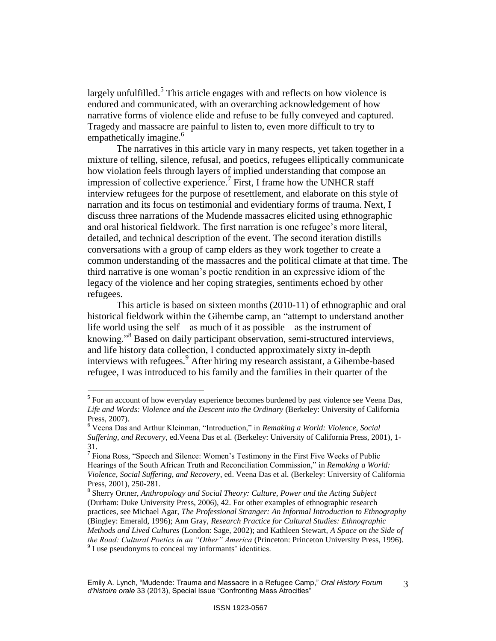largely unfulfilled.<sup>5</sup> This article engages with and reflects on how violence is endured and communicated, with an overarching acknowledgement of how narrative forms of violence elide and refuse to be fully conveyed and captured. Tragedy and massacre are painful to listen to, even more difficult to try to empathetically imagine.<sup>6</sup>

The narratives in this article vary in many respects, yet taken together in a mixture of telling, silence, refusal, and poetics, refugees elliptically communicate how violation feels through layers of implied understanding that compose an impression of collective experience.<sup>7</sup> First, I frame how the UNHCR staff interview refugees for the purpose of resettlement, and elaborate on this style of narration and its focus on testimonial and evidentiary forms of trauma. Next, I discuss three narrations of the Mudende massacres elicited using ethnographic and oral historical fieldwork. The first narration is one refugee"s more literal, detailed, and technical description of the event. The second iteration distills conversations with a group of camp elders as they work together to create a common understanding of the massacres and the political climate at that time. The third narrative is one woman"s poetic rendition in an expressive idiom of the legacy of the violence and her coping strategies, sentiments echoed by other refugees.

This article is based on sixteen months (2010-11) of ethnographic and oral historical fieldwork within the Gihembe camp, an "attempt to understand another life world using the self—as much of it as possible—as the instrument of knowing."<sup>8</sup> Based on daily participant observation, semi-structured interviews, and life history data collection, I conducted approximately sixty in-depth interviews with refugees.<sup>9</sup> After hiring my research assistant, a Gihembe-based refugee, I was introduced to his family and the families in their quarter of the

 $<sup>5</sup>$  For an account of how everyday experience becomes burdened by past violence see Veena Das,</sup> *Life and Words: Violence and the Descent into the Ordinary* (Berkeley: University of California Press, 2007).

<sup>6</sup> Veena Das and Arthur Kleinman, "Introduction," in *Remaking a World: Violence, Social Suffering, and Recovery*, ed.Veena Das et al*.* (Berkeley: University of California Press, 2001), 1- 31.

 $7$  Fiona Ross, "Speech and Silence: Women's Testimony in the First Five Weeks of Public Hearings of the South African Truth and Reconciliation Commission," in *Remaking a World: Violence, Social Suffering, and Recovery*, ed. Veena Das et al*.* (Berkeley: University of California Press, 2001), 250-281.

<sup>8</sup> Sherry Ortner, *Anthropology and Social Theory: Culture, Power and the Acting Subject*  (Durham: Duke University Press, 2006), 42. For other examples of ethnographic research practices, see Michael Agar, *The Professional Stranger: An Informal Introduction to Ethnography*  (Bingley: Emerald, 1996); Ann Gray, *Research Practice for Cultural Studies: Ethnographic Methods and Lived Cultures* (London: Sage, 2002); and Kathleen Stewart, *A Space on the Side of the Road: Cultural Poetics in an "Other" America* (Princeton: Princeton University Press, 1996).  $9^9$  I use pseudonyms to conceal my informants' identities.

Emily A. Lynch, "Mudende: Trauma and Massacre in a Refugee Camp," *Oral History Forum d'histoire orale* 33 (2013), Special Issue "Confronting Mass Atrocities" 3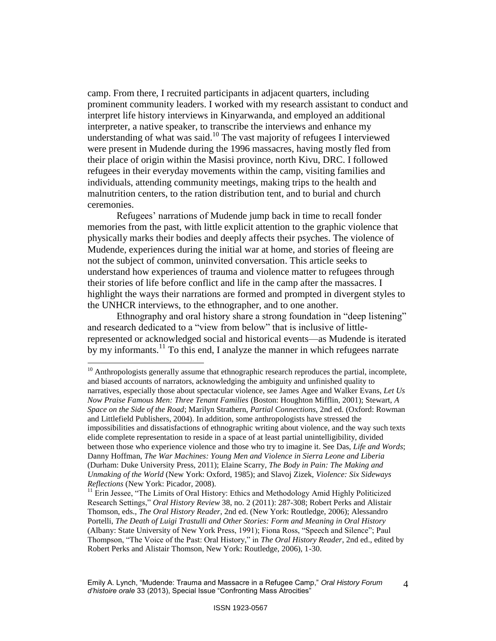camp. From there, I recruited participants in adjacent quarters, including prominent community leaders. I worked with my research assistant to conduct and interpret life history interviews in Kinyarwanda, and employed an additional interpreter, a native speaker, to transcribe the interviews and enhance my understanding of what was said.<sup>10</sup> The vast majority of refugees I interviewed were present in Mudende during the 1996 massacres, having mostly fled from their place of origin within the Masisi province, north Kivu, DRC. I followed refugees in their everyday movements within the camp, visiting families and individuals, attending community meetings, making trips to the health and malnutrition centers, to the ration distribution tent, and to burial and church ceremonies.

Refugees' narrations of Mudende jump back in time to recall fonder memories from the past, with little explicit attention to the graphic violence that physically marks their bodies and deeply affects their psyches. The violence of Mudende, experiences during the initial war at home, and stories of fleeing are not the subject of common, uninvited conversation. This article seeks to understand how experiences of trauma and violence matter to refugees through their stories of life before conflict and life in the camp after the massacres. I highlight the ways their narrations are formed and prompted in divergent styles to the UNHCR interviews, to the ethnographer, and to one another.

Ethnography and oral history share a strong foundation in "deep listening" and research dedicated to a "view from below" that is inclusive of littlerepresented or acknowledged social and historical events—as Mudende is iterated by my informants.<sup>11</sup> To this end, I analyze the manner in which refugees narrate

 $10$  Anthropologists generally assume that ethnographic research reproduces the partial, incomplete, and biased accounts of narrators, acknowledging the ambiguity and unfinished quality to narratives, especially those about spectacular violence, see James Agee and Walker Evans, *Let Us Now Praise Famous Men: Three Tenant Families* (Boston: Houghton Mifflin, 2001); Stewart, *A Space on the Side of the Road*; Marilyn Strathern, *Partial Connections,* 2nd ed. (Oxford: Rowman and Littlefield Publishers, 2004). In addition, some anthropologists have stressed the impossibilities and dissatisfactions of ethnographic writing about violence, and the way such texts elide complete representation to reside in a space of at least partial unintelligibility, divided between those who experience violence and those who try to imagine it. See Das, *Life and Words*; Danny Hoffman, *The War Machines: Young Men and Violence in Sierra Leone and Liberia*  (Durham: Duke University Press, 2011); Elaine Scarry, *The Body in Pain: The Making and Unmaking of the World* (New York: Oxford, 1985); and Slavoj Zizek, *Violence: Six Sideways Reflections* (New York: Picador, 2008).

<sup>&</sup>lt;sup>11</sup> Erin Jessee, "The Limits of Oral History: Ethics and Methodology Amid Highly Politicized Research Settings," *Oral History Review* 38, no. 2 (2011): 287-308; Robert Perks and Alistair Thomson, eds., *The Oral History Reader*, 2nd ed. (New York: Routledge, 2006); Alessandro Portelli, *The Death of Luigi Trastulli and Other Stories: Form and Meaning in Oral History*  (Albany: State University of New York Press, 1991); Fiona Ross, "Speech and Silence"; Paul Thompson, "The Voice of the Past: Oral History," in *The Oral History Reader*, 2nd ed., edited by Robert Perks and Alistair Thomson, New York: Routledge, 2006), 1-30.

Emily A. Lynch, "Mudende: Trauma and Massacre in a Refugee Camp," *Oral History Forum d'histoire orale* 33 (2013), Special Issue "Confronting Mass Atrocities" 4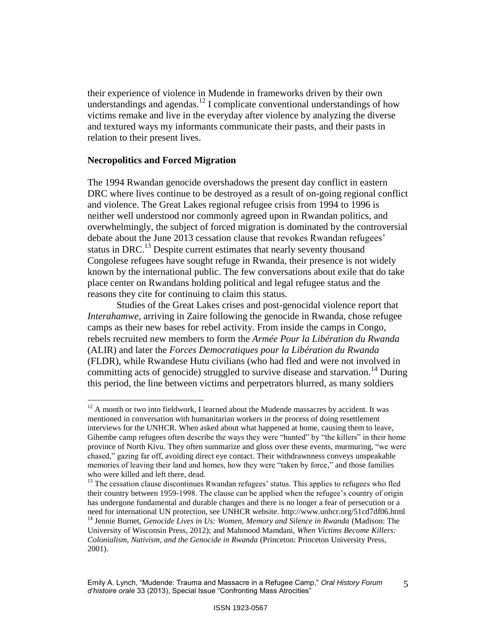their experience of violence in Mudende in frameworks driven by their own understandings and agendas.<sup>12</sup> I complicate conventional understandings of how victims remake and live in the everyday after violence by analyzing the diverse and textured ways my informants communicate their pasts, and their pasts in relation to their present lives.

## **Necropolitics and Forced Migration**

 $\overline{a}$ 

The 1994 Rwandan genocide overshadows the present day conflict in eastern DRC where lives continue to be destroyed as a result of on-going regional conflict and violence. The Great Lakes regional refugee crisis from 1994 to 1996 is neither well understood nor commonly agreed upon in Rwandan politics, and overwhelmingly, the subject of forced migration is dominated by the controversial debate about the June 2013 cessation clause that revokes Rwandan refugees' status in DRC.<sup>13</sup> Despite current estimates that nearly seventy thousand Congolese refugees have sought refuge in Rwanda, their presence is not widely known by the international public. The few conversations about exile that do take place center on Rwandans holding political and legal refugee status and the reasons they cite for continuing to claim this status.

Studies of the Great Lakes crises and post-genocidal violence report that *Interahamwe*, arriving in Zaire following the genocide in Rwanda, chose refugee camps as their new bases for rebel activity. From inside the camps in Congo, rebels recruited new members to form the *Armée Pour la Libération du Rwanda*  (ALIR) and later the *Forces Democratiques pour la Libération du Rwanda*  (FLDR), while Rwandese Hutu civilians (who had fled and were not involved in committing acts of genocide) struggled to survive disease and starvation.<sup>14</sup> During this period, the line between victims and perpetrators blurred, as many soldiers

 $12$  A month or two into fieldwork, I learned about the Mudende massacres by accident. It was mentioned in conversation with humanitarian workers in the process of doing resettlement interviews for the UNHCR. When asked about what happened at home, causing them to leave, Gihembe camp refugees often describe the ways they were "hunted" by "the killers" in their home province of North Kivu. They often summarize and gloss over these events, murmuring, "we were chased," gazing far off, avoiding direct eye contact. Their withdrawnness conveys unspeakable memories of leaving their land and homes, how they were "taken by force," and those families who were killed and left there, dead.

<sup>&</sup>lt;sup>13</sup> The cessation clause discontinues Rwandan refugees' status. This applies to refugees who fled their country between 1959-1998. The clause can be applied when the refugee"s country of origin has undergone fundamental and durable changes and there is no longer a fear of persecution or a need for international UN protection, see UNHCR website. http://www.unhcr.org/51cd7df06.html

<sup>14</sup> Jennie Burnet, *Genocide Lives in Us: Women, Memory and Silence in Rwanda* (Madison: The University of Wisconsin Press, 2012); and Mahmood Mamdani, *When Victims Become Killers: Colonialism, Nativism, and the Genocide in Rwanda* (Princeton: Princeton University Press, 2001).

Emily A. Lynch, "Mudende: Trauma and Massacre in a Refugee Camp," *Oral History Forum d'histoire orale* 33 (2013), Special Issue "Confronting Mass Atrocities" 5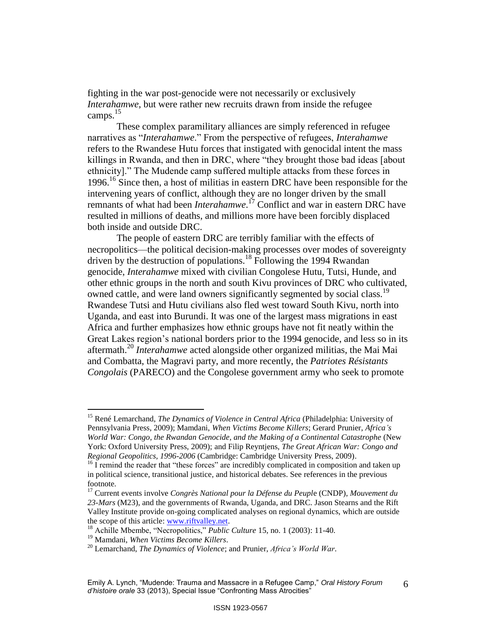fighting in the war post-genocide were not necessarily or exclusively *Interahamwe*, but were rather new recruits drawn from inside the refugee camps. $15$ 

These complex paramilitary alliances are simply referenced in refugee narratives as "*Interahamwe*." From the perspective of refugees, *Interahamwe* refers to the Rwandese Hutu forces that instigated with genocidal intent the mass killings in Rwanda, and then in DRC, where "they brought those bad ideas [about ethnicity]." The Mudende camp suffered multiple attacks from these forces in 1996.<sup>16</sup> Since then, a host of militias in eastern DRC have been responsible for the intervening years of conflict, although they are no longer driven by the small remnants of what had been *Interahamwe*. <sup>17</sup> Conflict and war in eastern DRC have resulted in millions of deaths, and millions more have been forcibly displaced both inside and outside DRC.

The people of eastern DRC are terribly familiar with the effects of necropolitics—the political decision-making processes over modes of sovereignty driven by the destruction of populations.<sup>18</sup> Following the 1994 Rwandan genocide, *Interahamwe* mixed with civilian Congolese Hutu, Tutsi, Hunde, and other ethnic groups in the north and south Kivu provinces of DRC who cultivated, owned cattle, and were land owners significantly segmented by social class.<sup>19</sup> Rwandese Tutsi and Hutu civilians also fled west toward South Kivu, north into Uganda, and east into Burundi. It was one of the largest mass migrations in east Africa and further emphasizes how ethnic groups have not fit neatly within the Great Lakes region"s national borders prior to the 1994 genocide, and less so in its aftermath. <sup>20</sup> *Interahamwe* acted alongside other organized militias, the Mai Mai and Combatta, the Magravi party, and more recently, the *Patriotes Résistants Congolais* (PARECO) and the Congolese government army who seek to promote

 $\overline{a}$ 

6

<sup>15</sup> René Lemarchand, *The Dynamics of Violence in Central Africa* (Philadelphia: University of Pennsylvania Press, 2009); Mamdani, *When Victims Become Killers*; Gerard Prunier, *Africa's World War: Congo, the Rwandan Genocide, and the Making of a Continental Catastrophe* (New York: Oxford University Press, 2009); and Filip Reyntjens, *The Great African War: Congo and Regional Geopolitics, 1996-2006* (Cambridge: Cambridge University Press, 2009).

<sup>&</sup>lt;sup>16</sup> I remind the reader that "these forces" are incredibly complicated in composition and taken up in political science, transitional justice, and historical debates. See references in the previous footnote.

<sup>17</sup> Current events involve *Congrès National pour la Défense du Peupl*e (CNDP), *Mouvement du 23-Mars* (M23), and the governments of Rwanda, Uganda, and DRC. Jason Stearns and the Rift Valley Institute provide on-going complicated analyses on regional dynamics, which are outside the scope of this article: [www.riftvalley.net.](http://www.riftvalley.net/) 

<sup>18</sup> Achille Mbembe, "Necropolitics," *Public Culture* 15, no. 1 (2003): 11-40.

<sup>19</sup> Mamdani, *When Victims Become Killers*.

<sup>20</sup> Lemarchand, *The Dynamics of Violence*; and Prunier, *Africa's World War*.

Emily A. Lynch, "Mudende: Trauma and Massacre in a Refugee Camp," *Oral History Forum d'histoire orale* 33 (2013), Special Issue "Confronting Mass Atrocities"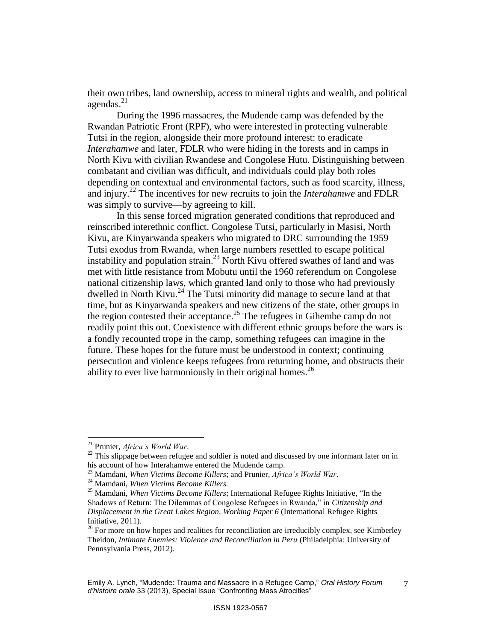their own tribes, land ownership, access to mineral rights and wealth, and political agendas. 21

During the 1996 massacres, the Mudende camp was defended by the Rwandan Patriotic Front (RPF), who were interested in protecting vulnerable Tutsi in the region, alongside their more profound interest: to eradicate *Interahamwe* and later, FDLR who were hiding in the forests and in camps in North Kivu with civilian Rwandese and Congolese Hutu. Distinguishing between combatant and civilian was difficult, and individuals could play both roles depending on contextual and environmental factors, such as food scarcity, illness, and injury.<sup>22</sup> The incentives for new recruits to join the *Interahamwe* and FDLR was simply to survive—by agreeing to kill.

In this sense forced migration generated conditions that reproduced and reinscribed interethnic conflict. Congolese Tutsi, particularly in Masisi, North Kivu, are Kinyarwanda speakers who migrated to DRC surrounding the 1959 Tutsi exodus from Rwanda, when large numbers resettled to escape political instability and population strain. <sup>23</sup> North Kivu offered swathes of land and was met with little resistance from Mobutu until the 1960 referendum on Congolese national citizenship laws, which granted land only to those who had previously dwelled in North Kivu.<sup>24</sup> The Tutsi minority did manage to secure land at that time, but as Kinyarwanda speakers and new citizens of the state, other groups in the region contested their acceptance. <sup>25</sup> The refugees in Gihembe camp do not readily point this out. Coexistence with different ethnic groups before the wars is a fondly recounted trope in the camp, something refugees can imagine in the future. These hopes for the future must be understood in context; continuing persecution and violence keeps refugees from returning home, and obstructs their ability to ever live harmoniously in their original homes.<sup>26</sup>

 $\overline{a}$ 

7

<sup>21</sup> Prunier, *Africa's World War*.

 $^{22}$  This slippage between refugee and soldier is noted and discussed by one informant later on in his account of how Interahamwe entered the Mudende camp.

<sup>23</sup> Mamdani, *When Victims Become Killers*; and Prunier, *Africa's World War*.

<sup>24</sup> Mamdani, *When Victims Become Killers.*

<sup>25</sup> Mamdani, *When Victims Become Killers*; International Refugee Rights Initiative, "In the Shadows of Return: The Dilemmas of Congolese Refugees in Rwanda," in *Citizenship and Displacement in the Great Lakes Region, Working Paper 6* (International Refugee Rights Initiative, 2011).

 $26$  For more on how hopes and realities for reconciliation are irreducibly complex, see Kimberley Theidon, *Intimate Enemies: Violence and Reconciliation in Peru* (Philadelphia: University of Pennsylvania Press, 2012).

Emily A. Lynch, "Mudende: Trauma and Massacre in a Refugee Camp," *Oral History Forum d'histoire orale* 33 (2013), Special Issue "Confronting Mass Atrocities"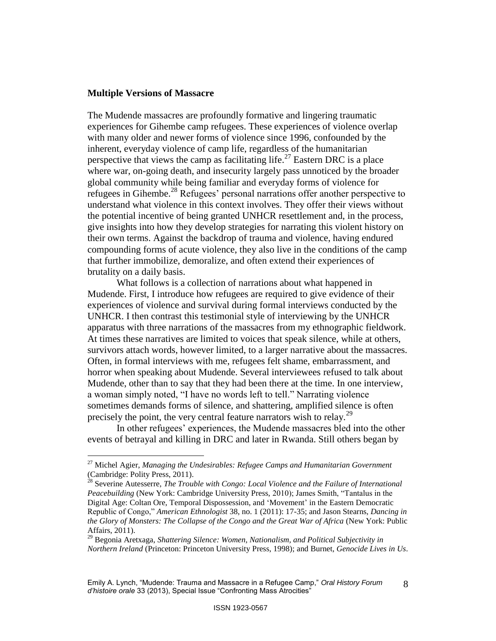## **Multiple Versions of Massacre**

 $\overline{a}$ 

The Mudende massacres are profoundly formative and lingering traumatic experiences for Gihembe camp refugees. These experiences of violence overlap with many older and newer forms of violence since 1996, confounded by the inherent, everyday violence of camp life, regardless of the humanitarian perspective that views the camp as facilitating life.<sup>27</sup> Eastern DRC is a place where war, on-going death, and insecurity largely pass unnoticed by the broader global community while being familiar and everyday forms of violence for refugees in Gihembe.<sup>28</sup> Refugees' personal narrations offer another perspective to understand what violence in this context involves. They offer their views without the potential incentive of being granted UNHCR resettlement and, in the process, give insights into how they develop strategies for narrating this violent history on their own terms. Against the backdrop of trauma and violence, having endured compounding forms of acute violence, they also live in the conditions of the camp that further immobilize, demoralize, and often extend their experiences of brutality on a daily basis.

What follows is a collection of narrations about what happened in Mudende. First, I introduce how refugees are required to give evidence of their experiences of violence and survival during formal interviews conducted by the UNHCR. I then contrast this testimonial style of interviewing by the UNHCR apparatus with three narrations of the massacres from my ethnographic fieldwork. At times these narratives are limited to voices that speak silence, while at others, survivors attach words, however limited, to a larger narrative about the massacres. Often, in formal interviews with me, refugees felt shame, embarrassment, and horror when speaking about Mudende. Several interviewees refused to talk about Mudende, other than to say that they had been there at the time. In one interview, a woman simply noted, "I have no words left to tell." Narrating violence sometimes demands forms of silence, and shattering, amplified silence is often precisely the point, the very central feature narrators wish to relay.<sup>29</sup>

In other refugees" experiences, the Mudende massacres bled into the other events of betrayal and killing in DRC and later in Rwanda. Still others began by

<sup>27</sup> Michel Agier, *Managing the Undesirables: Refugee Camps and Humanitarian Government*  (Cambridge: Polity Press, 2011).

<sup>28</sup> Severine Autesserre, *The Trouble with Congo: Local Violence and the Failure of International Peacebuilding* (New York: Cambridge University Press, 2010); James Smith, "Tantalus in the Digital Age: Coltan Ore, Temporal Dispossession, and "Movement" in the Eastern Democratic Republic of Congo," *American Ethnologist* 38, no. 1 (2011): 17-35; and Jason Stearns, *Dancing in the Glory of Monsters: The Collapse of the Congo and the Great War of Africa (New York: Public* Affairs, 2011).

<sup>29</sup> Begonia Aretxaga, *Shattering Silence: Women, Nationalism, and Political Subjectivity in Northern Ireland* (Princeton: Princeton University Press, 1998); and Burnet, *Genocide Lives in Us*.

Emily A. Lynch, "Mudende: Trauma and Massacre in a Refugee Camp," *Oral History Forum d'histoire orale* 33 (2013), Special Issue "Confronting Mass Atrocities" 8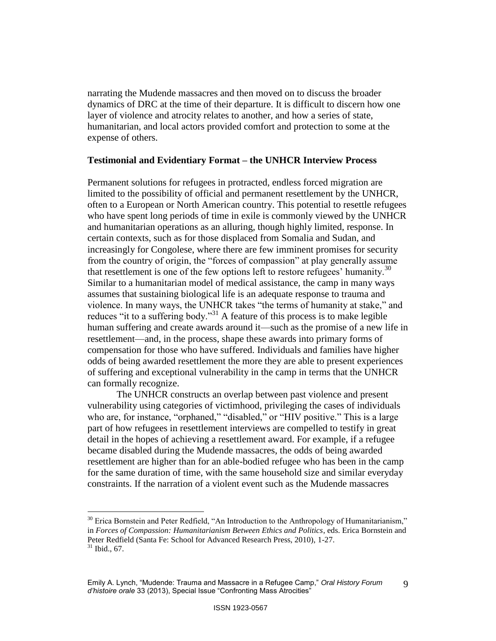narrating the Mudende massacres and then moved on to discuss the broader dynamics of DRC at the time of their departure. It is difficult to discern how one layer of violence and atrocity relates to another, and how a series of state, humanitarian, and local actors provided comfort and protection to some at the expense of others.

## **Testimonial and Evidentiary Format – the UNHCR Interview Process**

Permanent solutions for refugees in protracted, endless forced migration are limited to the possibility of official and permanent resettlement by the UNHCR, often to a European or North American country. This potential to resettle refugees who have spent long periods of time in exile is commonly viewed by the UNHCR and humanitarian operations as an alluring, though highly limited, response. In certain contexts, such as for those displaced from Somalia and Sudan, and increasingly for Congolese, where there are few imminent promises for security from the country of origin, the "forces of compassion" at play generally assume that resettlement is one of the few options left to restore refugees' humanity.<sup>30</sup> Similar to a humanitarian model of medical assistance, the camp in many ways assumes that sustaining biological life is an adequate response to trauma and violence. In many ways, the UNHCR takes "the terms of humanity at stake," and reduces "it to a suffering body."<sup>31</sup> A feature of this process is to make legible human suffering and create awards around it—such as the promise of a new life in resettlement—and, in the process, shape these awards into primary forms of compensation for those who have suffered. Individuals and families have higher odds of being awarded resettlement the more they are able to present experiences of suffering and exceptional vulnerability in the camp in terms that the UNHCR can formally recognize.

The UNHCR constructs an overlap between past violence and present vulnerability using categories of victimhood, privileging the cases of individuals who are, for instance, "orphaned," "disabled," or "HIV positive." This is a large part of how refugees in resettlement interviews are compelled to testify in great detail in the hopes of achieving a resettlement award. For example, if a refugee became disabled during the Mudende massacres, the odds of being awarded resettlement are higher than for an able-bodied refugee who has been in the camp for the same duration of time, with the same household size and similar everyday constraints. If the narration of a violent event such as the Mudende massacres

 $30$  Erica Bornstein and Peter Redfield, "An Introduction to the Anthropology of Humanitarianism," in *Forces of Compassion: Humanitarianism Between Ethics and Politics*, eds. Erica Bornstein and Peter Redfield (Santa Fe: School for Advanced Research Press, 2010), 1-27.  $31$  Ibid., 67.

Emily A. Lynch, "Mudende: Trauma and Massacre in a Refugee Camp," *Oral History Forum d'histoire orale* 33 (2013), Special Issue "Confronting Mass Atrocities" 9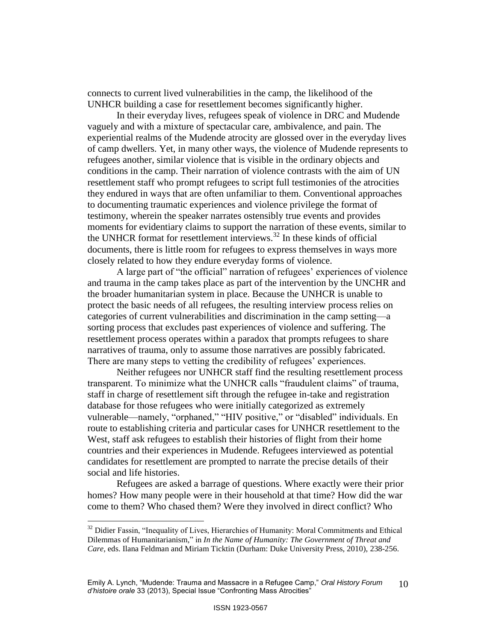connects to current lived vulnerabilities in the camp, the likelihood of the UNHCR building a case for resettlement becomes significantly higher.

In their everyday lives, refugees speak of violence in DRC and Mudende vaguely and with a mixture of spectacular care, ambivalence, and pain. The experiential realms of the Mudende atrocity are glossed over in the everyday lives of camp dwellers. Yet, in many other ways, the violence of Mudende represents to refugees another, similar violence that is visible in the ordinary objects and conditions in the camp. Their narration of violence contrasts with the aim of UN resettlement staff who prompt refugees to script full testimonies of the atrocities they endured in ways that are often unfamiliar to them. Conventional approaches to documenting traumatic experiences and violence privilege the format of testimony, wherein the speaker narrates ostensibly true events and provides moments for evidentiary claims to support the narration of these events, similar to the UNHCR format for resettlement interviews. $^{32}$  In these kinds of official documents, there is little room for refugees to express themselves in ways more closely related to how they endure everyday forms of violence.

A large part of "the official" narration of refugees' experiences of violence and trauma in the camp takes place as part of the intervention by the UNCHR and the broader humanitarian system in place. Because the UNHCR is unable to protect the basic needs of all refugees, the resulting interview process relies on categories of current vulnerabilities and discrimination in the camp setting—a sorting process that excludes past experiences of violence and suffering. The resettlement process operates within a paradox that prompts refugees to share narratives of trauma, only to assume those narratives are possibly fabricated. There are many steps to vetting the credibility of refugees' experiences.

Neither refugees nor UNHCR staff find the resulting resettlement process transparent. To minimize what the UNHCR calls "fraudulent claims" of trauma, staff in charge of resettlement sift through the refugee in-take and registration database for those refugees who were initially categorized as extremely vulnerable—namely, "orphaned," "HIV positive," or "disabled" individuals. En route to establishing criteria and particular cases for UNHCR resettlement to the West, staff ask refugees to establish their histories of flight from their home countries and their experiences in Mudende. Refugees interviewed as potential candidates for resettlement are prompted to narrate the precise details of their social and life histories.

Refugees are asked a barrage of questions. Where exactly were their prior homes? How many people were in their household at that time? How did the war come to them? Who chased them? Were they involved in direct conflict? Who

 $32$  Didier Fassin, "Inequality of Lives, Hierarchies of Humanity: Moral Commitments and Ethical Dilemmas of Humanitarianism," in *In the Name of Humanity: The Government of Threat and Care*, eds. Ilana Feldman and Miriam Ticktin (Durham: Duke University Press, 2010), 238-256.

Emily A. Lynch, "Mudende: Trauma and Massacre in a Refugee Camp," *Oral History Forum d'histoire orale* 33 (2013), Special Issue "Confronting Mass Atrocities" 10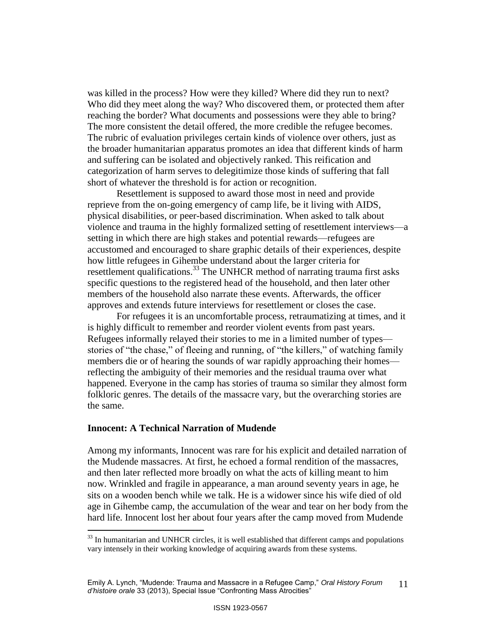was killed in the process? How were they killed? Where did they run to next? Who did they meet along the way? Who discovered them, or protected them after reaching the border? What documents and possessions were they able to bring? The more consistent the detail offered, the more credible the refugee becomes. The rubric of evaluation privileges certain kinds of violence over others, just as the broader humanitarian apparatus promotes an idea that different kinds of harm and suffering can be isolated and objectively ranked. This reification and categorization of harm serves to delegitimize those kinds of suffering that fall short of whatever the threshold is for action or recognition.

Resettlement is supposed to award those most in need and provide reprieve from the on-going emergency of camp life, be it living with AIDS, physical disabilities, or peer-based discrimination. When asked to talk about violence and trauma in the highly formalized setting of resettlement interviews—a setting in which there are high stakes and potential rewards—refugees are accustomed and encouraged to share graphic details of their experiences, despite how little refugees in Gihembe understand about the larger criteria for resettlement qualifications.<sup>33</sup> The UNHCR method of narrating trauma first asks specific questions to the registered head of the household, and then later other members of the household also narrate these events. Afterwards, the officer approves and extends future interviews for resettlement or closes the case.

For refugees it is an uncomfortable process, retraumatizing at times, and it is highly difficult to remember and reorder violent events from past years. Refugees informally relayed their stories to me in a limited number of types stories of "the chase," of fleeing and running, of "the killers," of watching family members die or of hearing the sounds of war rapidly approaching their homes reflecting the ambiguity of their memories and the residual trauma over what happened. Everyone in the camp has stories of trauma so similar they almost form folkloric genres. The details of the massacre vary, but the overarching stories are the same.

## **Innocent: A Technical Narration of Mudende**

 $\overline{a}$ 

Among my informants, Innocent was rare for his explicit and detailed narration of the Mudende massacres. At first, he echoed a formal rendition of the massacres, and then later reflected more broadly on what the acts of killing meant to him now. Wrinkled and fragile in appearance, a man around seventy years in age, he sits on a wooden bench while we talk. He is a widower since his wife died of old age in Gihembe camp, the accumulation of the wear and tear on her body from the hard life. Innocent lost her about four years after the camp moved from Mudende

 $33$  In humanitarian and UNHCR circles, it is well established that different camps and populations vary intensely in their working knowledge of acquiring awards from these systems.

Emily A. Lynch, "Mudende: Trauma and Massacre in a Refugee Camp," *Oral History Forum d'histoire orale* 33 (2013), Special Issue "Confronting Mass Atrocities" 11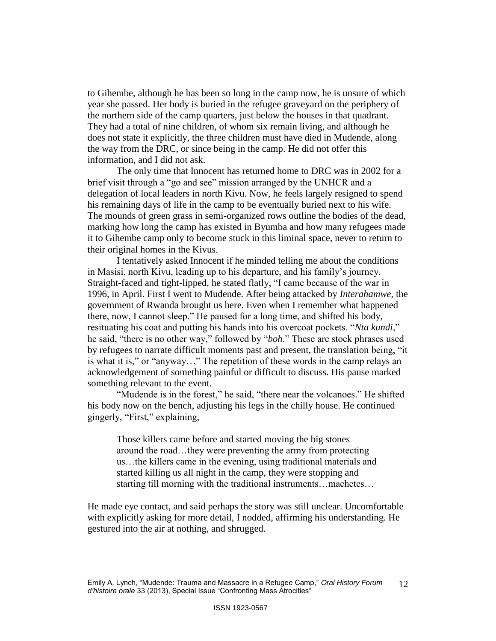to Gihembe, although he has been so long in the camp now, he is unsure of which year she passed. Her body is buried in the refugee graveyard on the periphery of the northern side of the camp quarters, just below the houses in that quadrant. They had a total of nine children, of whom six remain living, and although he does not state it explicitly, the three children must have died in Mudende, along the way from the DRC, or since being in the camp. He did not offer this information, and I did not ask.

The only time that Innocent has returned home to DRC was in 2002 for a brief visit through a "go and see" mission arranged by the UNHCR and a delegation of local leaders in north Kivu. Now, he feels largely resigned to spend his remaining days of life in the camp to be eventually buried next to his wife. The mounds of green grass in semi-organized rows outline the bodies of the dead, marking how long the camp has existed in Byumba and how many refugees made it to Gihembe camp only to become stuck in this liminal space, never to return to their original homes in the Kivus.

I tentatively asked Innocent if he minded telling me about the conditions in Masisi, north Kivu, leading up to his departure, and his family"s journey. Straight-faced and tight-lipped, he stated flatly, "I came because of the war in 1996, in April. First I went to Mudende. After being attacked by *Interahamwe*, the government of Rwanda brought us here. Even when I remember what happened there, now, I cannot sleep." He paused for a long time, and shifted his body, resituating his coat and putting his hands into his overcoat pockets. "*Nta kundi*," he said, "there is no other way," followed by "*boh*." These are stock phrases used by refugees to narrate difficult moments past and present, the translation being, "it is what it is," or "anyway…" The repetition of these words in the camp relays an acknowledgement of something painful or difficult to discuss. His pause marked something relevant to the event.

"Mudende is in the forest," he said, "there near the volcanoes." He shifted his body now on the bench, adjusting his legs in the chilly house. He continued gingerly, "First," explaining,

Those killers came before and started moving the big stones around the road…they were preventing the army from protecting us…the killers came in the evening, using traditional materials and started killing us all night in the camp, they were stopping and starting till morning with the traditional instruments…machetes…

He made eye contact, and said perhaps the story was still unclear. Uncomfortable with explicitly asking for more detail, I nodded, affirming his understanding. He gestured into the air at nothing, and shrugged.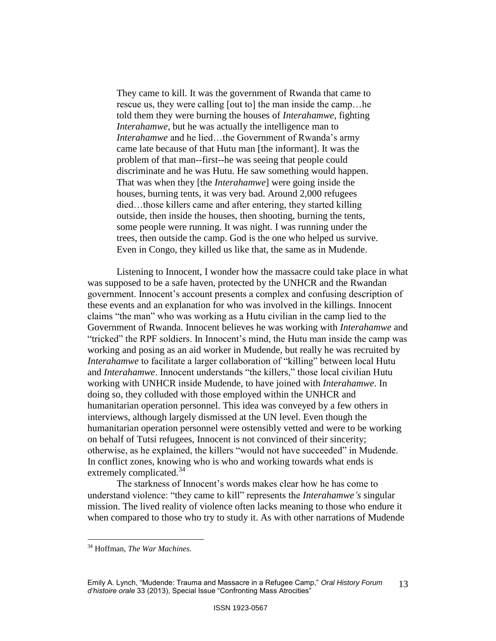They came to kill. It was the government of Rwanda that came to rescue us, they were calling [out to] the man inside the camp…he told them they were burning the houses of *Interahamwe*, fighting *Interahamwe*, but he was actually the intelligence man to *Interahamwe* and he lied...the Government of Rwanda's army came late because of that Hutu man [the informant]. It was the problem of that man--first--he was seeing that people could discriminate and he was Hutu. He saw something would happen. That was when they [the *Interahamwe*] were going inside the houses, burning tents, it was very bad. Around 2,000 refugees died…those killers came and after entering, they started killing outside, then inside the houses, then shooting, burning the tents, some people were running. It was night. I was running under the trees, then outside the camp. God is the one who helped us survive. Even in Congo, they killed us like that, the same as in Mudende.

Listening to Innocent, I wonder how the massacre could take place in what was supposed to be a safe haven, protected by the UNHCR and the Rwandan government. Innocent"s account presents a complex and confusing description of these events and an explanation for who was involved in the killings. Innocent claims "the man" who was working as a Hutu civilian in the camp lied to the Government of Rwanda. Innocent believes he was working with *Interahamwe* and "tricked" the RPF soldiers. In Innocent"s mind, the Hutu man inside the camp was working and posing as an aid worker in Mudende, but really he was recruited by *Interahamwe* to facilitate a larger collaboration of "killing" between local Hutu and *Interahamwe*. Innocent understands "the killers," those local civilian Hutu working with UNHCR inside Mudende, to have joined with *Interahamwe*. In doing so, they colluded with those employed within the UNHCR and humanitarian operation personnel. This idea was conveyed by a few others in interviews, although largely dismissed at the UN level. Even though the humanitarian operation personnel were ostensibly vetted and were to be working on behalf of Tutsi refugees, Innocent is not convinced of their sincerity; otherwise, as he explained, the killers "would not have succeeded" in Mudende. In conflict zones, knowing who is who and working towards what ends is extremely complicated.<sup>34</sup>

The starkness of Innocent's words makes clear how he has come to understand violence: "they came to kill" represents the *Interahamwe's* singular mission. The lived reality of violence often lacks meaning to those who endure it when compared to those who try to study it. As with other narrations of Mudende

<sup>34</sup> Hoffman, *The War Machines.*

Emily A. Lynch, "Mudende: Trauma and Massacre in a Refugee Camp," *Oral History Forum d'histoire orale* 33 (2013), Special Issue "Confronting Mass Atrocities" 13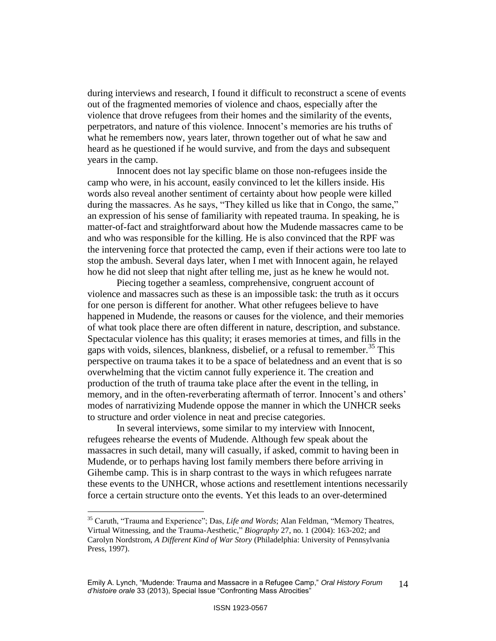during interviews and research, I found it difficult to reconstruct a scene of events out of the fragmented memories of violence and chaos, especially after the violence that drove refugees from their homes and the similarity of the events, perpetrators, and nature of this violence. Innocent"s memories are his truths of what he remembers now, years later, thrown together out of what he saw and heard as he questioned if he would survive, and from the days and subsequent years in the camp.

Innocent does not lay specific blame on those non-refugees inside the camp who were, in his account, easily convinced to let the killers inside. His words also reveal another sentiment of certainty about how people were killed during the massacres. As he says, "They killed us like that in Congo, the same," an expression of his sense of familiarity with repeated trauma. In speaking, he is matter-of-fact and straightforward about how the Mudende massacres came to be and who was responsible for the killing. He is also convinced that the RPF was the intervening force that protected the camp, even if their actions were too late to stop the ambush. Several days later, when I met with Innocent again, he relayed how he did not sleep that night after telling me, just as he knew he would not.

Piecing together a seamless, comprehensive, congruent account of violence and massacres such as these is an impossible task: the truth as it occurs for one person is different for another. What other refugees believe to have happened in Mudende, the reasons or causes for the violence, and their memories of what took place there are often different in nature, description, and substance. Spectacular violence has this quality; it erases memories at times, and fills in the gaps with voids, silences, blankness, disbelief, or a refusal to remember.<sup>35</sup> This perspective on trauma takes it to be a space of belatedness and an event that is so overwhelming that the victim cannot fully experience it. The creation and production of the truth of trauma take place after the event in the telling, in memory, and in the often-reverberating aftermath of terror. Innocent's and others' modes of narrativizing Mudende oppose the manner in which the UNHCR seeks to structure and order violence in neat and precise categories.

In several interviews, some similar to my interview with Innocent, refugees rehearse the events of Mudende. Although few speak about the massacres in such detail, many will casually, if asked, commit to having been in Mudende, or to perhaps having lost family members there before arriving in Gihembe camp. This is in sharp contrast to the ways in which refugees narrate these events to the UNHCR, whose actions and resettlement intentions necessarily force a certain structure onto the events. Yet this leads to an over-determined

<sup>35</sup> Caruth, "Trauma and Experience"; Das, *Life and Words*; Alan Feldman, "Memory Theatres, Virtual Witnessing, and the Trauma-Aesthetic," *Biography* 27, no. 1 (2004): 163-202; and Carolyn Nordstrom, *A Different Kind of War Story* (Philadelphia: University of Pennsylvania Press, 1997).

Emily A. Lynch, "Mudende: Trauma and Massacre in a Refugee Camp," *Oral History Forum d'histoire orale* 33 (2013), Special Issue "Confronting Mass Atrocities" 14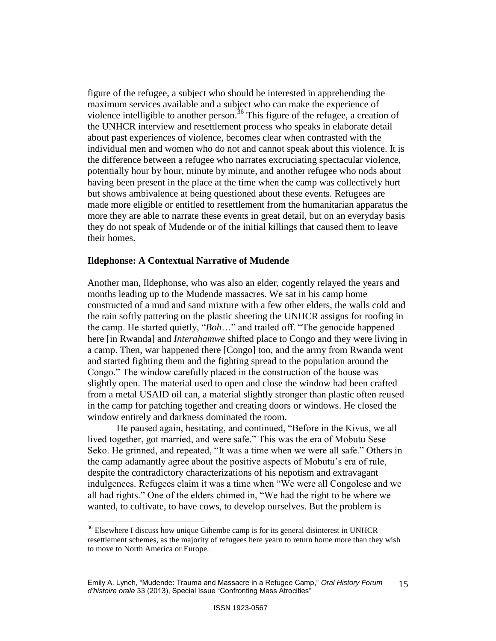figure of the refugee, a subject who should be interested in apprehending the maximum services available and a subject who can make the experience of violence intelligible to another person.<sup>36</sup> This figure of the refugee, a creation of the UNHCR interview and resettlement process who speaks in elaborate detail about past experiences of violence, becomes clear when contrasted with the individual men and women who do not and cannot speak about this violence. It is the difference between a refugee who narrates excruciating spectacular violence, potentially hour by hour, minute by minute, and another refugee who nods about having been present in the place at the time when the camp was collectively hurt but shows ambivalence at being questioned about these events. Refugees are made more eligible or entitled to resettlement from the humanitarian apparatus the more they are able to narrate these events in great detail, but on an everyday basis they do not speak of Mudende or of the initial killings that caused them to leave their homes.

## **Ildephonse: A Contextual Narrative of Mudende**

 $\overline{a}$ 

Another man, Ildephonse, who was also an elder, cogently relayed the years and months leading up to the Mudende massacres. We sat in his camp home constructed of a mud and sand mixture with a few other elders, the walls cold and the rain softly pattering on the plastic sheeting the UNHCR assigns for roofing in the camp. He started quietly, "*Boh*…" and trailed off. "The genocide happened here [in Rwanda] and *Interahamwe* shifted place to Congo and they were living in a camp. Then, war happened there [Congo] too, and the army from Rwanda went and started fighting them and the fighting spread to the population around the Congo." The window carefully placed in the construction of the house was slightly open. The material used to open and close the window had been crafted from a metal USAID oil can, a material slightly stronger than plastic often reused in the camp for patching together and creating doors or windows. He closed the window entirely and darkness dominated the room.

He paused again, hesitating, and continued, "Before in the Kivus, we all lived together, got married, and were safe." This was the era of Mobutu Sese Seko. He grinned, and repeated, "It was a time when we were all safe." Others in the camp adamantly agree about the positive aspects of Mobutu"s era of rule, despite the contradictory characterizations of his nepotism and extravagant indulgences. Refugees claim it was a time when "We were all Congolese and we all had rights." One of the elders chimed in, "We had the right to be where we wanted, to cultivate, to have cows, to develop ourselves. But the problem is

<sup>&</sup>lt;sup>36</sup> Elsewhere I discuss how unique Gihembe camp is for its general disinterest in UNHCR resettlement schemes, as the majority of refugees here yearn to return home more than they wish to move to North America or Europe.

Emily A. Lynch, "Mudende: Trauma and Massacre in a Refugee Camp," *Oral History Forum d'histoire orale* 33 (2013), Special Issue "Confronting Mass Atrocities" 15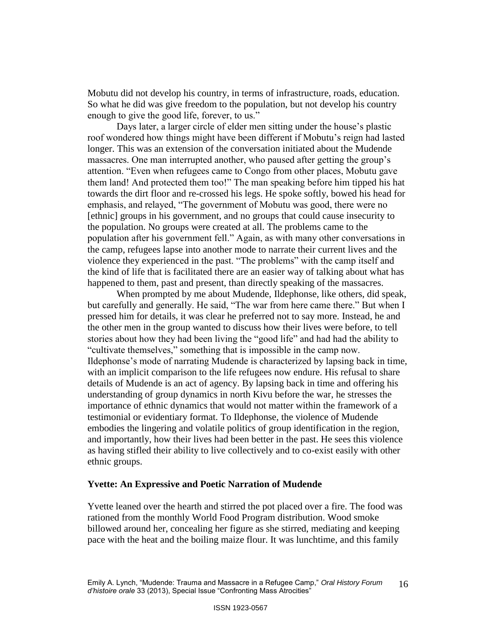Mobutu did not develop his country, in terms of infrastructure, roads, education. So what he did was give freedom to the population, but not develop his country enough to give the good life, forever, to us."

Days later, a larger circle of elder men sitting under the house's plastic roof wondered how things might have been different if Mobutu's reign had lasted longer. This was an extension of the conversation initiated about the Mudende massacres. One man interrupted another, who paused after getting the group"s attention. "Even when refugees came to Congo from other places, Mobutu gave them land! And protected them too!" The man speaking before him tipped his hat towards the dirt floor and re-crossed his legs. He spoke softly, bowed his head for emphasis, and relayed, "The government of Mobutu was good, there were no [ethnic] groups in his government, and no groups that could cause insecurity to the population. No groups were created at all. The problems came to the population after his government fell." Again, as with many other conversations in the camp, refugees lapse into another mode to narrate their current lives and the violence they experienced in the past. "The problems" with the camp itself and the kind of life that is facilitated there are an easier way of talking about what has happened to them, past and present, than directly speaking of the massacres.

When prompted by me about Mudende, Ildephonse, like others, did speak, but carefully and generally. He said, "The war from here came there." But when I pressed him for details, it was clear he preferred not to say more. Instead, he and the other men in the group wanted to discuss how their lives were before, to tell stories about how they had been living the "good life" and had had the ability to "cultivate themselves," something that is impossible in the camp now. Ildephonse"s mode of narrating Mudende is characterized by lapsing back in time, with an implicit comparison to the life refugees now endure. His refusal to share details of Mudende is an act of agency. By lapsing back in time and offering his understanding of group dynamics in north Kivu before the war, he stresses the importance of ethnic dynamics that would not matter within the framework of a testimonial or evidentiary format. To Ildephonse, the violence of Mudende embodies the lingering and volatile politics of group identification in the region, and importantly, how their lives had been better in the past. He sees this violence as having stifled their ability to live collectively and to co-exist easily with other ethnic groups.

## **Yvette: An Expressive and Poetic Narration of Mudende**

Yvette leaned over the hearth and stirred the pot placed over a fire. The food was rationed from the monthly World Food Program distribution. Wood smoke billowed around her, concealing her figure as she stirred, mediating and keeping pace with the heat and the boiling maize flour. It was lunchtime, and this family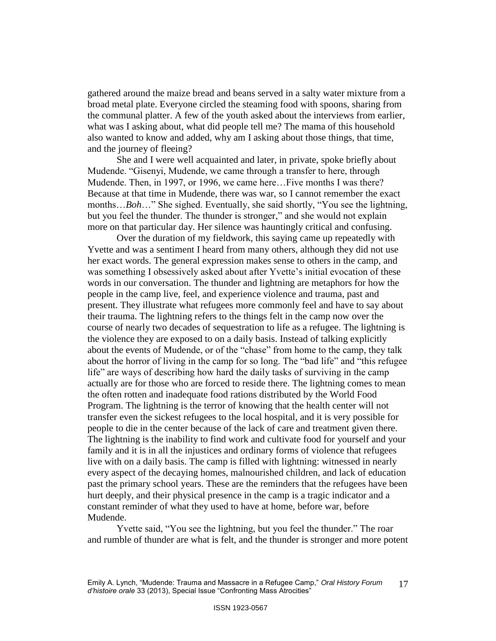gathered around the maize bread and beans served in a salty water mixture from a broad metal plate. Everyone circled the steaming food with spoons, sharing from the communal platter. A few of the youth asked about the interviews from earlier, what was I asking about, what did people tell me? The mama of this household also wanted to know and added, why am I asking about those things, that time, and the journey of fleeing?

She and I were well acquainted and later, in private, spoke briefly about Mudende. "Gisenyi, Mudende, we came through a transfer to here, through Mudende. Then, in 1997, or 1996, we came here…Five months I was there? Because at that time in Mudende, there was war, so I cannot remember the exact months…*Boh*…" She sighed. Eventually, she said shortly, "You see the lightning, but you feel the thunder. The thunder is stronger," and she would not explain more on that particular day. Her silence was hauntingly critical and confusing.

Over the duration of my fieldwork, this saying came up repeatedly with Yvette and was a sentiment I heard from many others, although they did not use her exact words. The general expression makes sense to others in the camp, and was something I obsessively asked about after Yvette's initial evocation of these words in our conversation. The thunder and lightning are metaphors for how the people in the camp live, feel, and experience violence and trauma, past and present. They illustrate what refugees more commonly feel and have to say about their trauma. The lightning refers to the things felt in the camp now over the course of nearly two decades of sequestration to life as a refugee. The lightning is the violence they are exposed to on a daily basis. Instead of talking explicitly about the events of Mudende, or of the "chase" from home to the camp, they talk about the horror of living in the camp for so long. The "bad life" and "this refugee life" are ways of describing how hard the daily tasks of surviving in the camp actually are for those who are forced to reside there. The lightning comes to mean the often rotten and inadequate food rations distributed by the World Food Program. The lightning is the terror of knowing that the health center will not transfer even the sickest refugees to the local hospital, and it is very possible for people to die in the center because of the lack of care and treatment given there. The lightning is the inability to find work and cultivate food for yourself and your family and it is in all the injustices and ordinary forms of violence that refugees live with on a daily basis. The camp is filled with lightning: witnessed in nearly every aspect of the decaying homes, malnourished children, and lack of education past the primary school years. These are the reminders that the refugees have been hurt deeply, and their physical presence in the camp is a tragic indicator and a constant reminder of what they used to have at home, before war, before Mudende.

Yvette said, "You see the lightning, but you feel the thunder." The roar and rumble of thunder are what is felt, and the thunder is stronger and more potent

Emily A. Lynch, "Mudende: Trauma and Massacre in a Refugee Camp," *Oral History Forum d'histoire orale* 33 (2013), Special Issue "Confronting Mass Atrocities" 17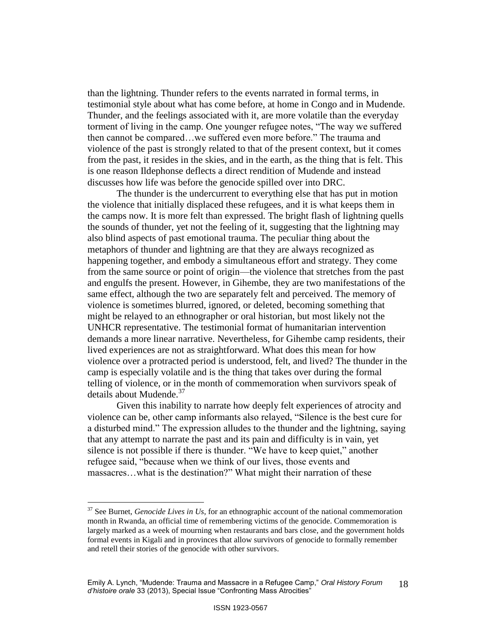than the lightning. Thunder refers to the events narrated in formal terms, in testimonial style about what has come before, at home in Congo and in Mudende. Thunder, and the feelings associated with it, are more volatile than the everyday torment of living in the camp. One younger refugee notes, "The way we suffered then cannot be compared…we suffered even more before." The trauma and violence of the past is strongly related to that of the present context, but it comes from the past, it resides in the skies, and in the earth, as the thing that is felt. This is one reason Ildephonse deflects a direct rendition of Mudende and instead discusses how life was before the genocide spilled over into DRC.

The thunder is the undercurrent to everything else that has put in motion the violence that initially displaced these refugees, and it is what keeps them in the camps now. It is more felt than expressed. The bright flash of lightning quells the sounds of thunder, yet not the feeling of it, suggesting that the lightning may also blind aspects of past emotional trauma. The peculiar thing about the metaphors of thunder and lightning are that they are always recognized as happening together, and embody a simultaneous effort and strategy. They come from the same source or point of origin—the violence that stretches from the past and engulfs the present. However, in Gihembe, they are two manifestations of the same effect, although the two are separately felt and perceived. The memory of violence is sometimes blurred, ignored, or deleted, becoming something that might be relayed to an ethnographer or oral historian, but most likely not the UNHCR representative. The testimonial format of humanitarian intervention demands a more linear narrative. Nevertheless, for Gihembe camp residents, their lived experiences are not as straightforward. What does this mean for how violence over a protracted period is understood, felt, and lived? The thunder in the camp is especially volatile and is the thing that takes over during the formal telling of violence, or in the month of commemoration when survivors speak of details about Mudende.<sup>37</sup>

Given this inability to narrate how deeply felt experiences of atrocity and violence can be, other camp informants also relayed, "Silence is the best cure for a disturbed mind." The expression alludes to the thunder and the lightning, saying that any attempt to narrate the past and its pain and difficulty is in vain, yet silence is not possible if there is thunder. "We have to keep quiet," another refugee said, "because when we think of our lives, those events and massacres…what is the destination?" What might their narration of these

<sup>37</sup> See Burnet, *Genocide Lives in Us*, for an ethnographic account of the national commemoration month in Rwanda, an official time of remembering victims of the genocide. Commemoration is largely marked as a week of mourning when restaurants and bars close, and the government holds formal events in Kigali and in provinces that allow survivors of genocide to formally remember and retell their stories of the genocide with other survivors.

Emily A. Lynch, "Mudende: Trauma and Massacre in a Refugee Camp," *Oral History Forum d'histoire orale* 33 (2013), Special Issue "Confronting Mass Atrocities" 18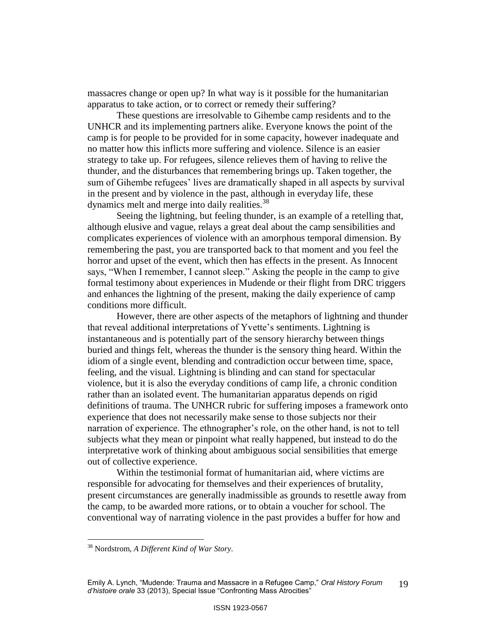massacres change or open up? In what way is it possible for the humanitarian apparatus to take action, or to correct or remedy their suffering?

These questions are irresolvable to Gihembe camp residents and to the UNHCR and its implementing partners alike. Everyone knows the point of the camp is for people to be provided for in some capacity, however inadequate and no matter how this inflicts more suffering and violence. Silence is an easier strategy to take up. For refugees, silence relieves them of having to relive the thunder, and the disturbances that remembering brings up. Taken together, the sum of Gihembe refugees' lives are dramatically shaped in all aspects by survival in the present and by violence in the past, although in everyday life, these dynamics melt and merge into daily realities.<sup>38</sup>

Seeing the lightning, but feeling thunder, is an example of a retelling that, although elusive and vague, relays a great deal about the camp sensibilities and complicates experiences of violence with an amorphous temporal dimension. By remembering the past, you are transported back to that moment and you feel the horror and upset of the event, which then has effects in the present. As Innocent says, "When I remember, I cannot sleep." Asking the people in the camp to give formal testimony about experiences in Mudende or their flight from DRC triggers and enhances the lightning of the present, making the daily experience of camp conditions more difficult.

However, there are other aspects of the metaphors of lightning and thunder that reveal additional interpretations of Yvette"s sentiments. Lightning is instantaneous and is potentially part of the sensory hierarchy between things buried and things felt, whereas the thunder is the sensory thing heard. Within the idiom of a single event, blending and contradiction occur between time, space, feeling, and the visual. Lightning is blinding and can stand for spectacular violence, but it is also the everyday conditions of camp life, a chronic condition rather than an isolated event. The humanitarian apparatus depends on rigid definitions of trauma. The UNHCR rubric for suffering imposes a framework onto experience that does not necessarily make sense to those subjects nor their narration of experience. The ethnographer's role, on the other hand, is not to tell subjects what they mean or pinpoint what really happened, but instead to do the interpretative work of thinking about ambiguous social sensibilities that emerge out of collective experience.

Within the testimonial format of humanitarian aid, where victims are responsible for advocating for themselves and their experiences of brutality, present circumstances are generally inadmissible as grounds to resettle away from the camp, to be awarded more rations, or to obtain a voucher for school. The conventional way of narrating violence in the past provides a buffer for how and

<sup>38</sup> Nordstrom, *A Different Kind of War Story.*

Emily A. Lynch, "Mudende: Trauma and Massacre in a Refugee Camp," *Oral History Forum d'histoire orale* 33 (2013), Special Issue "Confronting Mass Atrocities" 19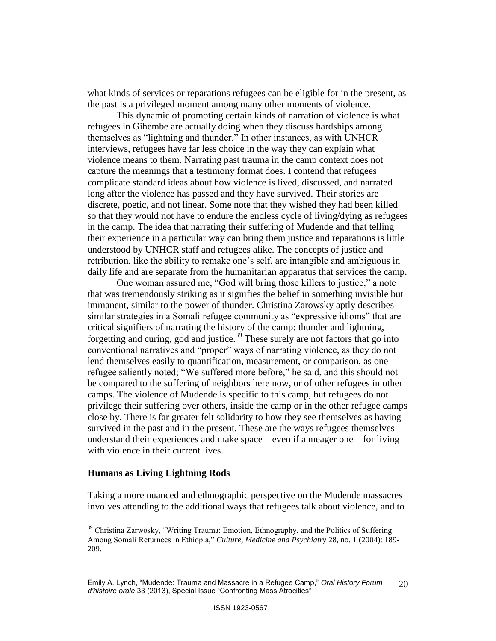what kinds of services or reparations refugees can be eligible for in the present, as the past is a privileged moment among many other moments of violence.

This dynamic of promoting certain kinds of narration of violence is what refugees in Gihembe are actually doing when they discuss hardships among themselves as "lightning and thunder." In other instances, as with UNHCR interviews, refugees have far less choice in the way they can explain what violence means to them. Narrating past trauma in the camp context does not capture the meanings that a testimony format does. I contend that refugees complicate standard ideas about how violence is lived, discussed, and narrated long after the violence has passed and they have survived. Their stories are discrete, poetic, and not linear. Some note that they wished they had been killed so that they would not have to endure the endless cycle of living/dying as refugees in the camp. The idea that narrating their suffering of Mudende and that telling their experience in a particular way can bring them justice and reparations is little understood by UNHCR staff and refugees alike. The concepts of justice and retribution, like the ability to remake one's self, are intangible and ambiguous in daily life and are separate from the humanitarian apparatus that services the camp.

One woman assured me, "God will bring those killers to justice," a note that was tremendously striking as it signifies the belief in something invisible but immanent, similar to the power of thunder. Christina Zarowsky aptly describes similar strategies in a Somali refugee community as "expressive idioms" that are critical signifiers of narrating the history of the camp: thunder and lightning, forgetting and curing, god and justice.<sup>39</sup> These surely are not factors that go into conventional narratives and "proper" ways of narrating violence, as they do not lend themselves easily to quantification, measurement, or comparison, as one refugee saliently noted; "We suffered more before," he said, and this should not be compared to the suffering of neighbors here now, or of other refugees in other camps. The violence of Mudende is specific to this camp, but refugees do not privilege their suffering over others, inside the camp or in the other refugee camps close by. There is far greater felt solidarity to how they see themselves as having survived in the past and in the present. These are the ways refugees themselves understand their experiences and make space—even if a meager one—for living with violence in their current lives.

## **Humans as Living Lightning Rods**

 $\overline{a}$ 

Taking a more nuanced and ethnographic perspective on the Mudende massacres involves attending to the additional ways that refugees talk about violence, and to

<sup>&</sup>lt;sup>39</sup> Christina Zarwosky, "Writing Trauma: Emotion, Ethnography, and the Politics of Suffering Among Somali Returnees in Ethiopia," *Culture, Medicine and Psychiatry* 28, no. 1 (2004): 189- 209.

Emily A. Lynch, "Mudende: Trauma and Massacre in a Refugee Camp," *Oral History Forum d'histoire orale* 33 (2013), Special Issue "Confronting Mass Atrocities" 20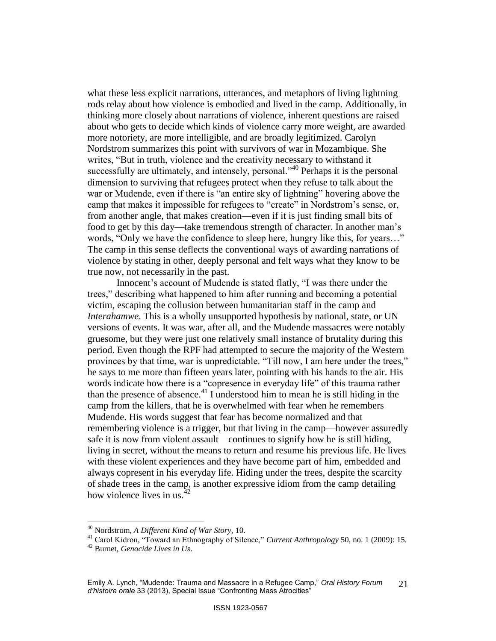what these less explicit narrations, utterances, and metaphors of living lightning rods relay about how violence is embodied and lived in the camp. Additionally, in thinking more closely about narrations of violence, inherent questions are raised about who gets to decide which kinds of violence carry more weight, are awarded more notoriety, are more intelligible, and are broadly legitimized. Carolyn Nordstrom summarizes this point with survivors of war in Mozambique. She writes, "But in truth, violence and the creativity necessary to withstand it successfully are ultimately, and intensely, personal."<sup>40</sup> Perhaps it is the personal dimension to surviving that refugees protect when they refuse to talk about the war or Mudende, even if there is "an entire sky of lightning" hovering above the camp that makes it impossible for refugees to "create" in Nordstrom's sense, or, from another angle, that makes creation—even if it is just finding small bits of food to get by this day—take tremendous strength of character. In another man"s words, "Only we have the confidence to sleep here, hungry like this, for years…" The camp in this sense deflects the conventional ways of awarding narrations of violence by stating in other, deeply personal and felt ways what they know to be true now, not necessarily in the past.

Innocent's account of Mudende is stated flatly, "I was there under the trees," describing what happened to him after running and becoming a potential victim, escaping the collusion between humanitarian staff in the camp and *Interahamwe*. This is a wholly unsupported hypothesis by national, state, or UN versions of events. It was war, after all, and the Mudende massacres were notably gruesome, but they were just one relatively small instance of brutality during this period. Even though the RPF had attempted to secure the majority of the Western provinces by that time, war is unpredictable. "Till now, I am here under the trees," he says to me more than fifteen years later, pointing with his hands to the air. His words indicate how there is a "copresence in everyday life" of this trauma rather than the presence of absence. $^{41}$  I understood him to mean he is still hiding in the camp from the killers, that he is overwhelmed with fear when he remembers Mudende. His words suggest that fear has become normalized and that remembering violence is a trigger, but that living in the camp—however assuredly safe it is now from violent assault—continues to signify how he is still hiding, living in secret, without the means to return and resume his previous life. He lives with these violent experiences and they have become part of him, embedded and always copresent in his everyday life. Hiding under the trees, despite the scarcity of shade trees in the camp, is another expressive idiom from the camp detailing how violence lives in us. $4$ 

<sup>40</sup> Nordstrom, *A Different Kind of War Story*, 10.

<sup>41</sup> Carol Kidron, "Toward an Ethnography of Silence," *Current Anthropology* 50, no. 1 (2009): 15.

<sup>42</sup> Burnet, *Genocide Lives in Us*.

Emily A. Lynch, "Mudende: Trauma and Massacre in a Refugee Camp," *Oral History Forum d'histoire orale* 33 (2013), Special Issue "Confronting Mass Atrocities" 21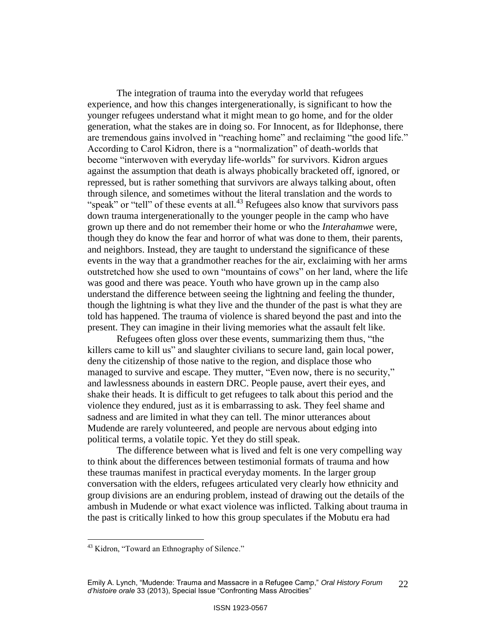The integration of trauma into the everyday world that refugees experience, and how this changes intergenerationally, is significant to how the younger refugees understand what it might mean to go home, and for the older generation, what the stakes are in doing so. For Innocent, as for Ildephonse, there are tremendous gains involved in "reaching home" and reclaiming "the good life." According to Carol Kidron, there is a "normalization" of death-worlds that become "interwoven with everyday life-worlds" for survivors. Kidron argues against the assumption that death is always phobically bracketed off, ignored, or repressed, but is rather something that survivors are always talking about, often through silence, and sometimes without the literal translation and the words to "speak" or "tell" of these events at all.<sup>43</sup> Refugees also know that survivors pass down trauma intergenerationally to the younger people in the camp who have grown up there and do not remember their home or who the *Interahamwe* were, though they do know the fear and horror of what was done to them, their parents, and neighbors. Instead, they are taught to understand the significance of these events in the way that a grandmother reaches for the air, exclaiming with her arms outstretched how she used to own "mountains of cows" on her land, where the life was good and there was peace. Youth who have grown up in the camp also understand the difference between seeing the lightning and feeling the thunder, though the lightning is what they live and the thunder of the past is what they are told has happened. The trauma of violence is shared beyond the past and into the present. They can imagine in their living memories what the assault felt like.

Refugees often gloss over these events, summarizing them thus, "the killers came to kill us" and slaughter civilians to secure land, gain local power, deny the citizenship of those native to the region, and displace those who managed to survive and escape. They mutter, "Even now, there is no security," and lawlessness abounds in eastern DRC. People pause, avert their eyes, and shake their heads. It is difficult to get refugees to talk about this period and the violence they endured, just as it is embarrassing to ask. They feel shame and sadness and are limited in what they can tell. The minor utterances about Mudende are rarely volunteered, and people are nervous about edging into political terms, a volatile topic. Yet they do still speak.

The difference between what is lived and felt is one very compelling way to think about the differences between testimonial formats of trauma and how these traumas manifest in practical everyday moments. In the larger group conversation with the elders, refugees articulated very clearly how ethnicity and group divisions are an enduring problem, instead of drawing out the details of the ambush in Mudende or what exact violence was inflicted. Talking about trauma in the past is critically linked to how this group speculates if the Mobutu era had

<sup>&</sup>lt;sup>43</sup> Kidron, "Toward an Ethnography of Silence."

Emily A. Lynch, "Mudende: Trauma and Massacre in a Refugee Camp," *Oral History Forum d'histoire orale* 33 (2013), Special Issue "Confronting Mass Atrocities" 22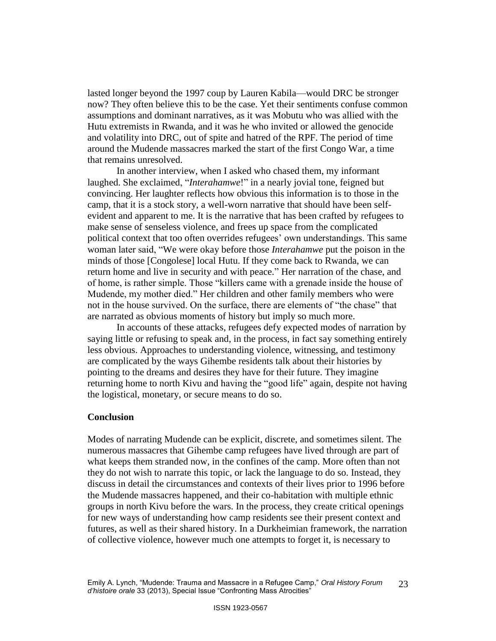lasted longer beyond the 1997 coup by Lauren Kabila—would DRC be stronger now? They often believe this to be the case. Yet their sentiments confuse common assumptions and dominant narratives, as it was Mobutu who was allied with the Hutu extremists in Rwanda, and it was he who invited or allowed the genocide and volatility into DRC, out of spite and hatred of the RPF. The period of time around the Mudende massacres marked the start of the first Congo War, a time that remains unresolved.

In another interview, when I asked who chased them, my informant laughed. She exclaimed, "*Interahamwe*!" in a nearly jovial tone, feigned but convincing. Her laughter reflects how obvious this information is to those in the camp, that it is a stock story, a well-worn narrative that should have been selfevident and apparent to me. It is the narrative that has been crafted by refugees to make sense of senseless violence, and frees up space from the complicated political context that too often overrides refugees" own understandings. This same woman later said, "We were okay before those *Interahamwe* put the poison in the minds of those [Congolese] local Hutu. If they come back to Rwanda, we can return home and live in security and with peace." Her narration of the chase, and of home, is rather simple. Those "killers came with a grenade inside the house of Mudende, my mother died." Her children and other family members who were not in the house survived. On the surface, there are elements of "the chase" that are narrated as obvious moments of history but imply so much more.

In accounts of these attacks, refugees defy expected modes of narration by saying little or refusing to speak and, in the process, in fact say something entirely less obvious. Approaches to understanding violence, witnessing, and testimony are complicated by the ways Gihembe residents talk about their histories by pointing to the dreams and desires they have for their future. They imagine returning home to north Kivu and having the "good life" again, despite not having the logistical, monetary, or secure means to do so.

#### **Conclusion**

Modes of narrating Mudende can be explicit, discrete, and sometimes silent. The numerous massacres that Gihembe camp refugees have lived through are part of what keeps them stranded now, in the confines of the camp. More often than not they do not wish to narrate this topic, or lack the language to do so. Instead, they discuss in detail the circumstances and contexts of their lives prior to 1996 before the Mudende massacres happened, and their co-habitation with multiple ethnic groups in north Kivu before the wars. In the process, they create critical openings for new ways of understanding how camp residents see their present context and futures, as well as their shared history. In a Durkheimian framework, the narration of collective violence, however much one attempts to forget it, is necessary to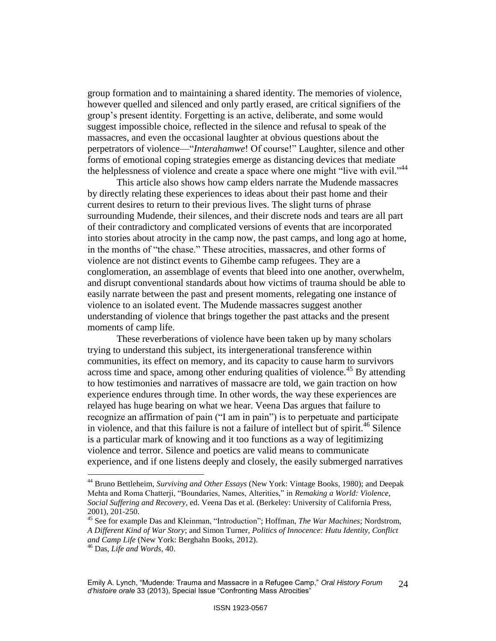group formation and to maintaining a shared identity. The memories of violence, however quelled and silenced and only partly erased, are critical signifiers of the group"s present identity. Forgetting is an active, deliberate, and some would suggest impossible choice, reflected in the silence and refusal to speak of the massacres, and even the occasional laughter at obvious questions about the perpetrators of violence—"*Interahamwe*! Of course!" Laughter, silence and other forms of emotional coping strategies emerge as distancing devices that mediate the helplessness of violence and create a space where one might "live with evil."<sup>44</sup>

This article also shows how camp elders narrate the Mudende massacres by directly relating these experiences to ideas about their past home and their current desires to return to their previous lives. The slight turns of phrase surrounding Mudende, their silences, and their discrete nods and tears are all part of their contradictory and complicated versions of events that are incorporated into stories about atrocity in the camp now, the past camps, and long ago at home, in the months of "the chase." These atrocities, massacres, and other forms of violence are not distinct events to Gihembe camp refugees. They are a conglomeration, an assemblage of events that bleed into one another, overwhelm, and disrupt conventional standards about how victims of trauma should be able to easily narrate between the past and present moments, relegating one instance of violence to an isolated event. The Mudende massacres suggest another understanding of violence that brings together the past attacks and the present moments of camp life.

These reverberations of violence have been taken up by many scholars trying to understand this subject, its intergenerational transference within communities, its effect on memory, and its capacity to cause harm to survivors across time and space, among other enduring qualities of violence.<sup>45</sup> By attending to how testimonies and narratives of massacre are told, we gain traction on how experience endures through time. In other words, the way these experiences are relayed has huge bearing on what we hear. Veena Das argues that failure to recognize an affirmation of pain ("I am in pain") is to perpetuate and participate in violence, and that this failure is not a failure of intellect but of spirit.<sup>46</sup> Silence is a particular mark of knowing and it too functions as a way of legitimizing violence and terror. Silence and poetics are valid means to communicate experience, and if one listens deeply and closely, the easily submerged narratives

<sup>44</sup> Bruno Bettleheim, *Surviving and Other Essays* (New York: Vintage Books, 1980); and Deepak Mehta and Roma Chatterji, "Boundaries, Names, Alterities," in *Remaking a World: Violence, Social Suffering and Recovery*, ed. Veena Das et al*.* (Berkeley: University of California Press, 2001), 201-250.

<sup>45</sup> See for example Das and Kleinman, "Introduction"; Hoffman, *The War Machines*; Nordstrom, *A Different Kind of War Story*; and Simon Turner, *Politics of Innocence: Hutu Identity, Conflict and Camp Life* (New York: Berghahn Books, 2012).

<sup>46</sup> Das, *Life and Words*, 40.

Emily A. Lynch, "Mudende: Trauma and Massacre in a Refugee Camp," *Oral History Forum d'histoire orale* 33 (2013), Special Issue "Confronting Mass Atrocities" 24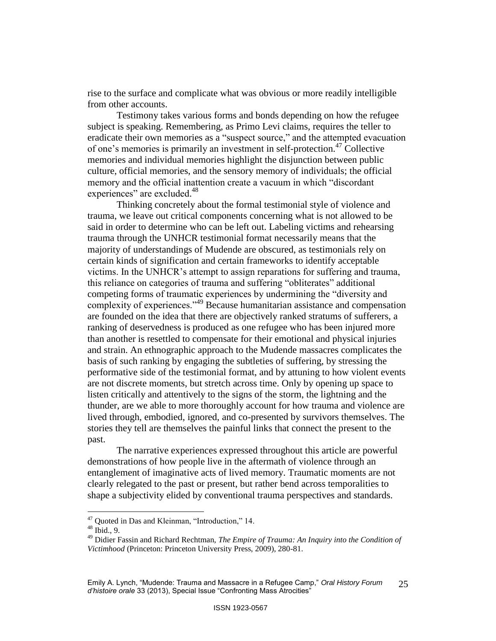rise to the surface and complicate what was obvious or more readily intelligible from other accounts.

Testimony takes various forms and bonds depending on how the refugee subject is speaking. Remembering, as Primo Levi claims, requires the teller to eradicate their own memories as a "suspect source," and the attempted evacuation of one's memories is primarily an investment in self-protection.<sup>47</sup> Collective memories and individual memories highlight the disjunction between public culture, official memories, and the sensory memory of individuals; the official memory and the official inattention create a vacuum in which "discordant experiences" are excluded.<sup>48</sup>

Thinking concretely about the formal testimonial style of violence and trauma, we leave out critical components concerning what is not allowed to be said in order to determine who can be left out. Labeling victims and rehearsing trauma through the UNHCR testimonial format necessarily means that the majority of understandings of Mudende are obscured, as testimonials rely on certain kinds of signification and certain frameworks to identify acceptable victims. In the UNHCR"s attempt to assign reparations for suffering and trauma, this reliance on categories of trauma and suffering "obliterates" additional competing forms of traumatic experiences by undermining the "diversity and complexity of experiences."<sup>49</sup> Because humanitarian assistance and compensation are founded on the idea that there are objectively ranked stratums of sufferers, a ranking of deservedness is produced as one refugee who has been injured more than another is resettled to compensate for their emotional and physical injuries and strain. An ethnographic approach to the Mudende massacres complicates the basis of such ranking by engaging the subtleties of suffering, by stressing the performative side of the testimonial format, and by attuning to how violent events are not discrete moments, but stretch across time. Only by opening up space to listen critically and attentively to the signs of the storm, the lightning and the thunder, are we able to more thoroughly account for how trauma and violence are lived through, embodied, ignored, and co-presented by survivors themselves. The stories they tell are themselves the painful links that connect the present to the past.

The narrative experiences expressed throughout this article are powerful demonstrations of how people live in the aftermath of violence through an entanglement of imaginative acts of lived memory. Traumatic moments are not clearly relegated to the past or present, but rather bend across temporalities to shape a subjectivity elided by conventional trauma perspectives and standards.

<sup>47</sup> Quoted in Das and Kleinman, "Introduction," 14.

<sup>48</sup> Ibid., 9.

<sup>49</sup> Didier Fassin and Richard Rechtman, *The Empire of Trauma: An Inquiry into the Condition of Victimhood* (Princeton: Princeton University Press, 2009), 280-81.

Emily A. Lynch, "Mudende: Trauma and Massacre in a Refugee Camp," *Oral History Forum d'histoire orale* 33 (2013), Special Issue "Confronting Mass Atrocities" 25